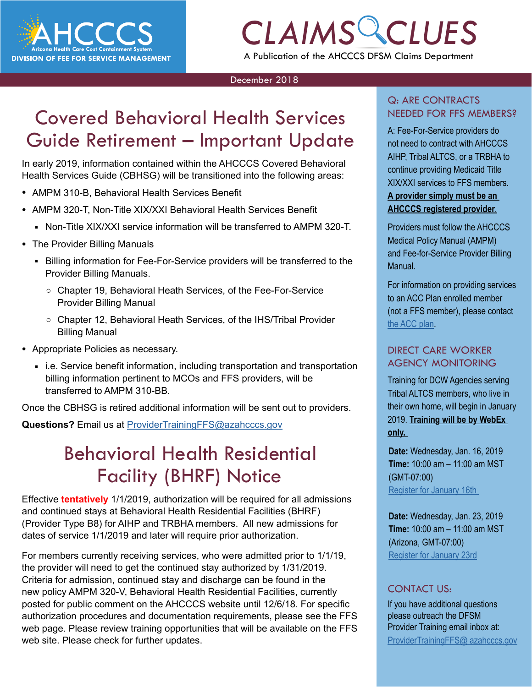

# *CLAIMS CLUES* A Publication of the AHCCCS DFSM Claims Department

#### December 2018

# Covered Behavioral Health Services Guide Retirement – Important Update

In early 2019, information contained within the AHCCCS Covered Behavioral Health Services Guide (CBHSG) will be transitioned into the following areas:

- AMPM 310-B, Behavioral Health Services Benefit
- AMPM 320-T, Non-Title XIX/XXI Behavioral Health Services Benefit
	- Non-Title XIX/XXI service information will be transferred to AMPM 320-T.
- The Provider Billing Manuals
	- Billing information for Fee-For-Service providers will be transferred to the Provider Billing Manuals.
		- Chapter 19, Behavioral Heath Services, of the Fee-For-Service Provider Billing Manual
		- Chapter 12, Behavioral Heath Services, of the IHS/Tribal Provider Billing Manual
- Appropriate Policies as necessary.
	- i.e. Service benefit information, including transportation and transportation billing information pertinent to MCOs and FFS providers, will be transferred to AMPM 310-BB.

Once the CBHSG is retired additional information will be sent out to providers.

**Questions?** Email us at [ProviderTrainingFFS@azahcccs.gov](mailto:ProviderTrainingFFS%40azahcccs.gov?subject=)

## Behavioral Health Residential Facility (BHRF) Notice

**Effective tentatively** 1/1/2019, authorization will be required for all admissions and continued stays at Behavioral Health Residential Facilities (BHRF) (Provider Type B8) for AIHP and TRBHA members. All new admissions for dates of service  $1/1/2019$  and later will require prior authorization.

For members currently receiving services, who were admitted prior to 1/1/19, the provider will need to get the continued stay authorized by 1/31/2019. Criteria for admission, continued stay and discharge can be found in the new policy AMPM 320-V, Behavioral Health Residential Facilities, currently posted for public comment on the AHCCCS website until 12/6/18. For specific authorization procedures and documentation requirements, please see the FFS web page. Please review training opportunities that will be available on the FFS web site. Please check for further updates.

# Q: ARE CONTRACTS

VICES<br>
CLAIMS CHAIRS CLUB A: Fee-For-Service providers do<br>
CLAIMS CLUB CONTRACT CLUB CONTRACT WITH ALLOCAL A: Fee-For-Service providers do not need to contract with AHCCCS AIHP, Tribal ALTCS, or a TRBHA to continue providing Medicaid Title XIX/XXI services to FFS members. **A provider simply must be an AHCCCS registered provider**.

> Providers must follow the AHCCCS Medical Policy Manual (AMPM) and Fee-for-Service Provider Billing Manual.

For information on providing services to an ACC Plan enrolled member (not a FFS member), please contact [the ACC plan.](https://www.azahcccs.gov/AHCCCS/Initiatives/AHCCCSCompleteCare/)

### DIRECT CARE WORKER AGENCY MONITORING

Training for DCW Agencies serving Tribal ALTCS members, who live in their own home, will begin in January 2019. **Training will be by WebEx only.** 

**Date:** Wednesday, Jan. 16, 2019 **Time:** 10:00 am – 11:00 am MST (GMT-07:00) [Register for January 16th](https://azgov.webex.com/mw3300/mywebex/default.do?service=1&siteurl=azgov&nomenu=false&main_url=%2Fmc3300%2Fmeetingcenter%2Fdefault.do%3Fsiteurl%3Dazgov%26rnd%3D3471120110%26main_url%3D%252Fmc3300%252Fe.do%253Fsiteurl%253Dazgov%2526AT%253DMI%2526EventID%253D490204628%2526UID%253D0%2526Host%253DQUhTSwAAAATLbQQGmk45XUyiZmaFtpEjDfZP7ajix1TVwJg70vaEUeDkA56FDnED3-eQLgh4_Wn7Cz28N-TPLao4SXMu-8kK0%2526RG%253D1%2526FrameSet%253D2%2526RGID%253Dr417231b8ba3f8a82da1565020383ff88) 

**Date:** Wednesday, Jan. 23, 2019 **Time:** 10:00 am – 11:00 am MST (Arizona, GMT-07:00) [Register for January 23rd](https://azgov.webex.com/mw3300/mywebex/default.do?service=1&siteurl=azgov&nomenu=false&main_url=%2Fmc3300%2Fmeetingcenter%2Fdefault.do%3Fsiteurl%3Dazgov%26rnd%3D7938183530%26main_url%3D%252Fmc3300%252Fe.do%253Fsiteurl%253Dazgov%2526AT%253DMI%2526EventID%253D490207798%2526UID%253D0%2526Host%253DQUhTSwAAAARzdfVYf_UKZK36d1taP69IsjrT8ZcBMUNGVWWA5VvOHvd0n0dUmfBDfsDSURLzRUpRLNzef3m2QsKBZ8tfAqDN0%2526RG%253D1%2526FrameSet%253D2%2526RGID%253Dr1ff5d93007594384af36549b6171d64c)

### CONTACT US:

If you have additional questions please outreach the DFSM Provider Training email inbox at: [ProviderTrainingFFS@ azahcccs.gov](mailto:ProviderTrainingFFS%40%20azahcccs.gov%20?subject=)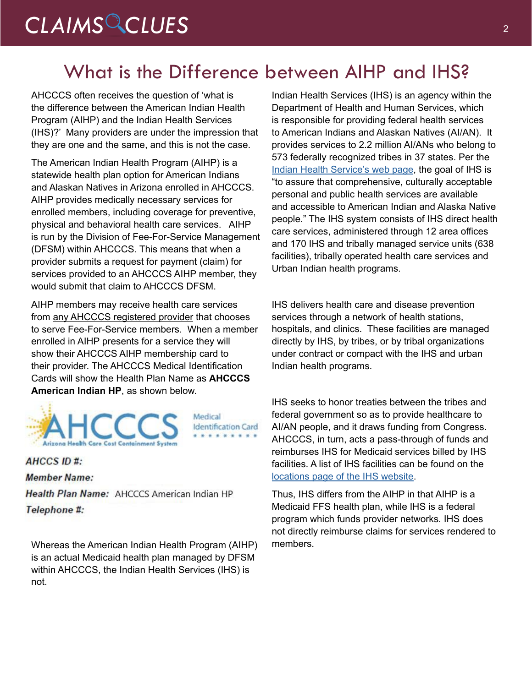## What is the Difference between AIHP and IHS?

AHCCCS often receives the question of 'what is the difference between the American Indian Health Program (AIHP) and the Indian Health Services (IHS)?' Many providers are under the impression that they are one and the same, and this is not the case.

The American Indian Health Program (AIHP) is a statewide health plan option for American Indians and Alaskan Natives in Arizona enrolled in AHCCCS. AIHP provides medically necessary services for enrolled members, including coverage for preventive, physical and behavioral health care services. AIHP is run by the Division of Fee-For-Service Management (DFSM) within AHCCCS. This means that when a provider submits a request for payment (claim) for services provided to an AHCCCS AIHP member, they would submit that claim to AHCCCS DFSM.

AIHP members may receive health care services from any AHCCCS registered provider that chooses to serve Fee-For-Service members. When a member enrolled in AIHP presents for a service they will show their AHCCCS AIHP membership card to their provider. The AHCCCS Medical Identification Cards will show the Health Plan Name as **AHCCCS American Indian HP**, as shown below.



Medical **Identification Card** 

### AHCCS ID #:

**Member Name:** Health Plan Name: AHCCCS American Indian HP Telephone #:

Whereas the American Indian Health Program (AIHP) is an actual Medicaid health plan managed by DFSM within AHCCCS, the Indian Health Services (IHS) is not.

Indian Health Services (IHS) is an agency within the Department of Health and Human Services, which is responsible for providing federal health services to American Indians and Alaskan Natives (AI/AN). It provides services to 2.2 million AI/ANs who belong to 573 federally recognized tribes in 37 states. Per the [Indian Health Service's web page,](https://www.ihs.gov/aboutihs/) the goal of IHS is "to assure that comprehensive, culturally acceptable personal and public health services are available and accessible to American Indian and Alaska Native people." The IHS system consists of IHS direct health care services, administered through 12 area offices and 170 IHS and tribally managed service units (638 facilities), tribally operated health care services and Urban Indian health programs.

IHS delivers health care and disease prevention services through a network of health stations, hospitals, and clinics. These facilities are managed directly by IHS, by tribes, or by tribal organizations under contract or compact with the IHS and urban Indian health programs.

IHS seeks to honor treaties between the tribes and federal government so as to provide healthcare to AI/AN people, and it draws funding from Congress. AHCCCS, in turn, acts a pass-through of funds and reimburses IHS for Medicaid services billed by IHS facilities. A list of IHS facilities can be found on the [locations page of the IHS website](https://www.ihs.gov/locations/).

Thus, IHS differs from the AIHP in that AIHP is a Medicaid FFS health plan, while IHS is a federal program which funds provider networks. IHS does not directly reimburse claims for services rendered to members.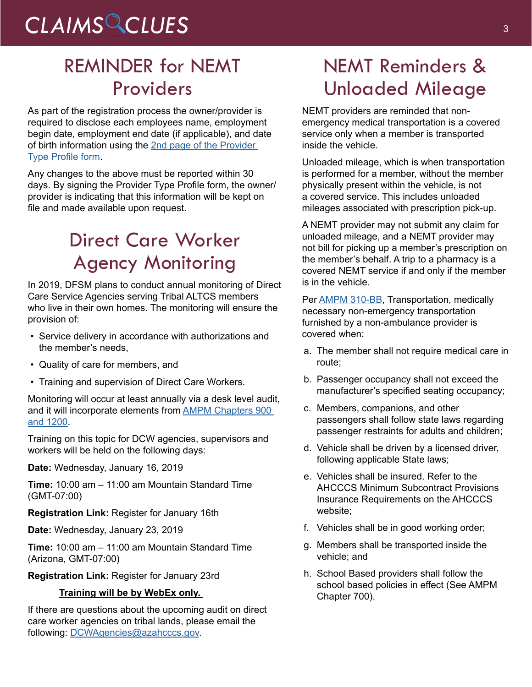# CLAIMS CLUES<sup>3</sup>

## REMINDER for NEMT Providers

As part of the registration process the owner/provider is required to disclose each employees name, employment begin date, employment end date (if applicable), and date of birth information using the [2nd page of the Provider](https://www.azahcccs.gov/PlansProviders/Downloads/NonEmergencyTransportationProvider.pdf)  Type [Profile](https://www.azahcccs.gov/PlansProviders/Downloads/NonEmergencyTransportationProvider.pdf) form.

Any changes to the above must be reported within 30 days. By signing the Provider Type Profile form, the owner/ provider is indicating that this information will be kept on file and made available upon request.

# Direct Care Worker Agency Monitoring

In 2019, DFSM plans to conduct annual monitoring of Direct Care Service Agencies serving Tribal ALTCS members who live in their own homes. The monitoring will ensure the provision of:

- Service delivery in accordance with authorizations and the member's needs,
- Quality of care for members, and
- Training and supervision of Direct Care Workers.

Monitoring will occur at least annually via a desk level audit, and it will incorporate elements from [AMPM Chapters 900](https://www.azahcccs.gov/shared/MedicalPolicyManual/)  [and 1200.](https://www.azahcccs.gov/shared/MedicalPolicyManual/)

Training on this topic for DCW agencies, supervisors and workers will be held on the following days:

**Date:** Wednesday, January 16, 2019

**Time:** 10:00 am – 11:00 am Mountain Standard Time (GMT-07:00)

**Registration Link:** Register for January 16th

**Date:** Wednesday, January 23, 2019

**Time:** 10:00 am – 11:00 am Mountain Standard Time (Arizona, GMT-07:00)

**Registration Link:** Register for January 23rd

### **Training will be by WebEx only.**

If there are questions about the upcoming audit on direct care worker agencies on tribal lands, please email the following: [DCWAgencies@azahcccs.gov](mailto:DCWAgencies%40azahcccs.gov?subject=).

# NEMT Reminders & Unloaded Mileage

NEMT providers are reminded that nonemergency medical transportation is a covered service only when a member is transported inside the vehicle.

Unloaded mileage, which is when transportation is performed for a member, without the member physically present within the vehicle, is not a covered service. This includes unloaded mileages associated with prescription pick-up.

A NEMT provider may not submit any claim for unloaded mileage, and a NEMT provider may not bill for picking up a member's prescription on the member's behalf. A trip to a pharmacy is a covered NEMT service if and only if the member is in the vehicle.

Per **AMPM 310-BB**, Transportation, medically necessary non-emergency transportation furnished by a non-ambulance provider is covered when:

- a. The member shall not require medical care in route;
- b. Passenger occupancy shall not exceed the manufacturer's specified seating occupancy;
- c. Members, companions, and other passengers shall follow state laws regarding passenger restraints for adults and children;
- d. Vehicle shall be driven by a licensed driver, following applicable State laws;
- e. Vehicles shall be insured. Refer to the AHCCCS Minimum Subcontract Provisions Insurance Requirements on the AHCCCS website;
- f. Vehicles shall be in good working order;
- g. Members shall be transported inside the vehicle; and
- h. School Based providers shall follow the school based policies in effect (See AMPM Chapter 700).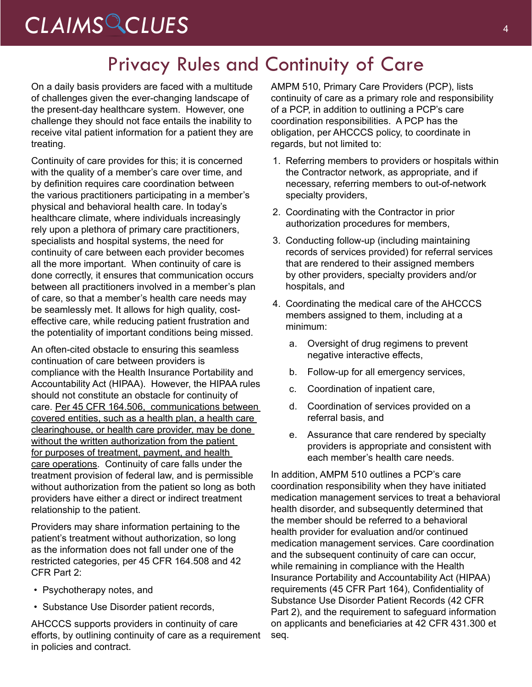## Privacy Rules and Continuity of Care

On a daily basis providers are faced with a multitude of challenges given the ever-changing landscape of the present-day healthcare system. However, one challenge they should not face entails the inability to receive vital patient information for a patient they are treating.

Continuity of care provides for this; it is concerned with the quality of a member's care over time, and by definition requires care coordination between the various practitioners participating in a member's physical and behavioral health care. In today's healthcare climate, where individuals increasingly rely upon a plethora of primary care practitioners, specialists and hospital systems, the need for continuity of care between each provider becomes all the more important. When continuity of care is done correctly, it ensures that communication occurs between all practitioners involved in a member's plan of care, so that a member's health care needs may be seamlessly met. It allows for high quality, costeffective care, while reducing patient frustration and the potentiality of important conditions being missed.

An often-cited obstacle to ensuring this seamless continuation of care between providers is compliance with the Health Insurance Portability and Accountability Act (HIPAA). However, the HIPAA rules should not constitute an obstacle for continuity of care. Per 45 CFR 164.506, communications between covered entities, such as a health plan, a health care clearinghouse, or health care provider, may be done without the written authorization from the patient for purposes of treatment, payment, and health care operations. Continuity of care falls under the treatment provision of federal law, and is permissible without authorization from the patient so long as both providers have either a direct or indirect treatment relationship to the patient.

Providers may share information pertaining to the patient's treatment without authorization, so long as the information does not fall under one of the restricted categories, per 45 CFR 164.508 and 42 CFR Part 2:

- Psychotherapy notes, and
- Substance Use Disorder patient records,

AHCCCS supports providers in continuity of care efforts, by outlining continuity of care as a requirement in policies and contract.

AMPM 510, Primary Care Providers (PCP), lists continuity of care as a primary role and responsibility of a PCP, in addition to outlining a PCP's care coordination responsibilities. A PCP has the obligation, per AHCCCS policy, to coordinate in regards, but not limited to:

- 1. Referring members to providers or hospitals within the Contractor network, as appropriate, and if necessary, referring members to out-of-network specialty providers,
- 2. Coordinating with the Contractor in prior authorization procedures for members,
- 3. Conducting follow-up (including maintaining records of services provided) for referral services that are rendered to their assigned members by other providers, specialty providers and/or hospitals, and
- 4. Coordinating the medical care of the AHCCCS members assigned to them, including at a minimum:
	- a. Oversight of drug regimens to prevent negative interactive effects,
	- b. Follow-up for all emergency services,
	- c. Coordination of inpatient care,
	- d. Coordination of services provided on a referral basis, and
	- e. Assurance that care rendered by specialty providers is appropriate and consistent with each member's health care needs.

In addition, AMPM 510 outlines a PCP's care coordination responsibility when they have initiated medication management services to treat a behavioral health disorder, and subsequently determined that the member should be referred to a behavioral health provider for evaluation and/or continued medication management services. Care coordination and the subsequent continuity of care can occur, while remaining in compliance with the Health Insurance Portability and Accountability Act (HIPAA) requirements (45 CFR Part 164), Confidentiality of Substance Use Disorder Patient Records (42 CFR Part 2), and the requirement to safeguard information on applicants and beneficiaries at 42 CFR 431.300 et seq.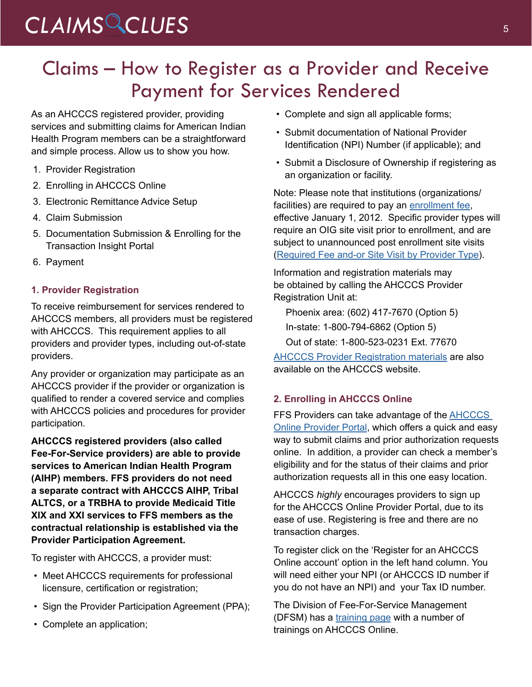# CLAIMS CLUES<sup>5</sup>

## Claims – How to Register as a Provider and Receive Payment for Services Rendered

As an AHCCCS registered provider, providing services and submitting claims for American Indian Health Program members can be a straightforward and simple process. Allow us to show you how.

- 1. Provider Registration
- 2. Enrolling in AHCCCS Online
- 3. Electronic Remittance Advice Setup
- 4. Claim Submission
- 5. Documentation Submission & Enrolling for the Transaction Insight Portal
- 6. Payment

### **1. Provider Registration**

To receive reimbursement for services rendered to AHCCCS members, all providers must be registered with AHCCCS. This requirement applies to all providers and provider types, including out-of-state providers.

Any provider or organization may participate as an AHCCCS provider if the provider or organization is qualified to render a covered service and complies with AHCCCS policies and procedures for provider participation.

**AHCCCS registered providers (also called Fee-For-Service providers) are able to provide services to American Indian Health Program (AIHP) members. FFS providers do not need a separate contract with AHCCCS AIHP, Tribal ALTCS, or a TRBHA to provide Medicaid Title XIX and XXI services to FFS members as the contractual relationship is established via the Provider Participation Agreement.** 

To register with AHCCCS, a provider must:

- Meet AHCCCS requirements for professional licensure, certification or registration;
- Sign the Provider Participation Agreement (PPA);
- Complete an application;
- Complete and sign all applicable forms;
- Submit documentation of National Provider Identification (NPI) Number (if applicable); and
- Submit a Disclosure of Ownership if registering as an organization or facility.

Note: Please note that institutions (organizations/ facilities) are required to pay an [enrollment fee](https://www.azahcccs.gov/PlansProviders/NewProviders/EnrollmentFee/), effective January 1, 2012. Specific provider types will require an OIG site visit prior to enrollment, and are subject to unannounced post enrollment site visits ([Required](https://www.azahcccs.gov/PlansProviders/Downloads/RequiredFeeandorSiteVisitbyP.pdf) Fee and-or Site Visit by Provider Type).

Information and registration materials may be obtained by calling the AHCCCS Provider Registration Unit at:

Phoenix area: (602) 417-7670 (Option 5)

In-state: 1-800-794-6862 (Option 5)

Out of state: 1-800-523-0231 Ext. 77670

[AHCCCS Provider Registration materials](https://www.azahcccs.gov/PlansProviders/NewProviders/packet.html) are also available on the AHCCCS website.

### **2. Enrolling in AHCCCS Online**

FFS Providers can take advantage of the **AHCCCS** [Online Provider Portal](https://azweb.statemedicaid.us/Account/Login.aspx?ReturnUrl=%2f), which offers a quick and easy way to submit claims and prior authorization requests online. In addition, a provider can check a member's eligibility and for the status of their claims and prior authorization requests all in this one easy location.

AHCCCS *highly* encourages providers to sign up for the AHCCCS Online Provider Portal, due to its ease of use. Registering is free and there are no transaction charges.

To register click on the 'Register for an AHCCCS Online account' option in the left hand column. You will need either your NPI (or AHCCCS ID number if you do not have an NPI) and your Tax ID number.

The Division of Fee-For-Service Management (DFSM) has [a training page](https://www.azahcccs.gov/Resources/DFSMTraining/index.html) with a number of trainings on AHCCCS Online.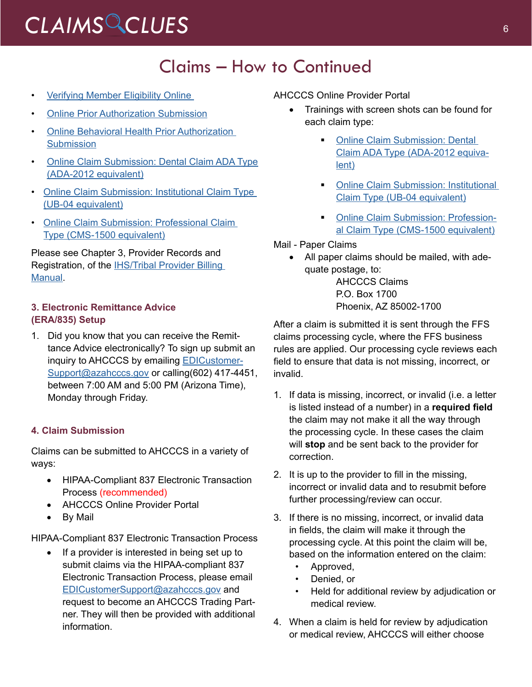### Claims – How to Continued

- [Verifying Member Eligibility Online](https://www.azahcccs.gov/Resources/Downloads/DFMSTraining/2018/MemberEligibility.pdf)
- **[Online Prior Authorization Submission](https://www.azahcccs.gov/Resources/Downloads/DFMSTraining/2018/PATraining_Final.pdf)**
- [Online Behavioral Health Prior Authorization](https://www.azahcccs.gov/Resources/Downloads/DFMSTraining/2018/OnlineBehavioralHealth_PA_Update_.pdf) **[Submission](https://www.azahcccs.gov/Resources/Downloads/DFMSTraining/2018/OnlineBehavioralHealth_PA_Update_.pdf)**
- [Online Claim Submission: Dental Claim ADA Type](https://www.azahcccs.gov/Resources/Downloads/DFMSTraining/2018/DentalTraining.pdf) [\(ADA-2012](https://www.azahcccs.gov/Resources/Downloads/DFMSTraining/2018/DentalTraining.pdf) equivalent)
- [Online Claim Submission: Institutional Claim Type](https://www.azahcccs.gov/Resources/Downloads/DFMSTraining/2018/OnlineClaimSubmissionUBFinal_02222018.pdf) (UB-04 [equivalent\)](https://www.azahcccs.gov/Resources/Downloads/DFMSTraining/2018/OnlineClaimSubmissionUBFinal_02222018.pdf)
- [Online Claim Submission: Professional Claim](https://www.azahcccs.gov/Resources/Downloads/DFMSTraining/2018/OnlineClaimSubmission.pdf%20) Type [\(CMS-1500](https://www.azahcccs.gov/Resources/Downloads/DFMSTraining/2018/OnlineClaimSubmission.pdf%20) equivalent)

Please see [Chapter 3, Provider Records and](https://www.azahcccs.gov/PlansProviders/Downloads/IHS-TribalManual/IHS-Chap03ProvReg.pdf)  [Registration, of the IHS/Tribal Provider Billing](https://www.azahcccs.gov/PlansProviders/Downloads/IHS-TribalManual/IHS-Chap03ProvReg.pdf)  [Manual.](https://www.azahcccs.gov/PlansProviders/Downloads/IHS-TribalManual/IHS-Chap03ProvReg.pdf)

### **3. Electronic Remittance Advice (ERA/835) Setup**

1. Did you know that you can receive the Remittance Advice electronically? To sign up submit an inquiry to AHCCCS by emailing [EDICustomer-](mailto:EDICustomerSupport%40azahcccs.gov?subject=)[Support@azahcccs.gov](mailto:EDICustomerSupport%40azahcccs.gov?subject=) or calling(602) 417-4451, between 7:00 AM and 5:00 PM (Arizona Time), Monday through Friday.

### **4. Claim Submission**

Claims can be submitted to AHCCCS in a variety of ways:

- HIPAA-Compliant 837 Electronic Transaction Process (recommended)
- AHCCCS Online Provider Portal
- By Mail

HIPAA-Compliant 837 Electronic Transaction Process

If a provider is interested in being set up to submit claims via the HIPAA-compliant 837 Electronic Transaction Process, please email [EDICustomerSupport@azahcccs.gov](mailto:EDICustomerSupport@azahcccs.gov) and request to become an AHCCCS Trading Partner. They will then be provided with additional information.

AHCCCS Online Provider Portal

- Trainings with screen shots can be found for each claim type:
	- **[Online Claim Submission: Dental](https://www.azahcccs.gov/Resources/Downloads/DFMSTraining/2018/DentalTraining.pdf)** Claim ADA Type [\(ADA-2012](https://www.azahcccs.gov/Resources/Downloads/DFMSTraining/2018/DentalTraining.pdf) equiva[lent\)](https://www.azahcccs.gov/Resources/Downloads/DFMSTraining/2018/DentalTraining.pdf)
	- **[Online Claim Submission: Institutional](https://www.azahcccs.gov/Resources/Downloads/DFMSTraining/2018/OnlineClaimSubmissionUBFinal_02222018.pdf)** Claim Type (UB-04 [equivalent\)](https://www.azahcccs.gov/Resources/Downloads/DFMSTraining/2018/OnlineClaimSubmissionUBFinal_02222018.pdf)
	- **[Online Claim Submission: Profession](https://www.azahcccs.gov/Resources/Downloads/DFMSTraining/2018/OnlineClaimSubmission.pdf%20)**al Claim Type [\(CMS-1500](https://www.azahcccs.gov/Resources/Downloads/DFMSTraining/2018/OnlineClaimSubmission.pdf%20) equivalent)

### Mail - Paper Claims

• All paper claims should be mailed, with adequate postage, to:

AHCCCS Claims P.O. Box 1700 Phoenix, AZ 85002-1700

After a claim is submitted it is sent through the FFS claims processing cycle, where the FFS business rules are applied. Our processing cycle reviews each field to ensure that data is not missing, incorrect, or invalid.

- 1. If data is missing, incorrect, or invalid (i.e. a letter is listed instead of a number) in a **required field** the claim may not make it all the way through the processing cycle. In these cases the claim will **stop** and be sent back to the provider for correction.
- 2. It is up to the provider to fill in the missing, incorrect or invalid data and to resubmit before further processing/review can occur.
- 3. If there is no missing, incorrect, or invalid data in fields, the claim will make it through the processing cycle. At this point the claim will be, based on the information entered on the claim:
	- Approved,
	- Denied, or
	- Held for additional review by adjudication or medical review.
- 4. When a claim is held for review by adjudication or medical review, AHCCCS will either choose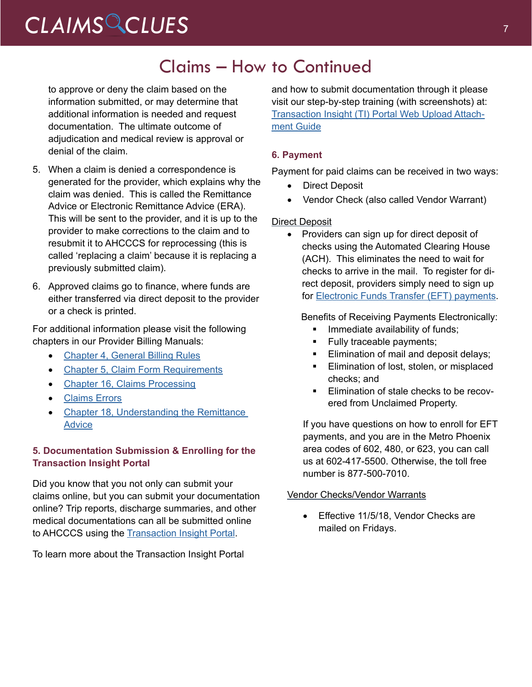# CLAIMS CLUES<sup>7</sup>

### Claims – How to Continued

to approve or deny the claim based on the information submitted, or may determine that additional information is needed and request documentation. The ultimate outcome of adjudication and medical review is approval or denial of the claim.

- 5. When a claim is denied a correspondence is generated for the provider, which explains why the claim was denied. This is called the Remittance Advice or Electronic Remittance Advice (ERA). This will be sent to the provider, and it is up to the provider to make corrections to the claim and to resubmit it to AHCCCS for reprocessing (this is called 'replacing a claim' because it is replacing a previously submitted claim).
- 6. Approved claims go to finance, where funds are either transferred via direct deposit to the provider or a check is printed.

For additional information please visit the following chapters in our Provider Billing Manuals:

- [Chapter 4, General Billing Rules](https://www.azahcccs.gov/PlansProviders/Downloads/IHS-TribalManual/IHS-Chap04GenBillRules.pdf)
- Chapter 5, Claim Form [Requirements](https://www.azahcccs.gov/PlansProviders/Downloads/IHS-TribalManual/IHS-Chap05ClmFormRequire.pdf)
- [Chapter 16, Claims Processing](https://www.azahcccs.gov/PlansProviders/Downloads/IHS-TribalManual/IHS-Chap16ClmsProcess.pdf)
- [Claims Errors](https://www.azahcccs.gov/PlansProviders/Downloads/IHS-TribalManual/IHS-Chap17ClaimErrors.pdf)
- **[Chapter 18, Understanding the Remittance](https://www.azahcccs.gov/PlansProviders/Downloads/IHS-TribalManual/IHS-Chap18Remits.pdf) [Advice](https://www.azahcccs.gov/PlansProviders/Downloads/IHS-TribalManual/IHS-Chap18Remits.pdf)**

### **5. Documentation Submission & Enrolling for the Transaction Insight Portal**

Did you know that you not only can submit your claims online, but you can submit your documentation online? Trip reports, discharge summaries, and other medical documentations can all be submitted online to AHCCCS using the **Transaction Insight Portal**.

To learn more about the Transaction Insight Portal

and how to submit documentation through it please visit our step-by-step training (with screenshots) at: [Transaction Insight \(TI\) Portal Web Upload Attach](https://www.azahcccs.gov/Resources/Downloads/DFMSTraining/2018/TransactionInsight_TI_PortalWebUploadAttachmentGuide.pdf)[ment Guide](https://www.azahcccs.gov/Resources/Downloads/DFMSTraining/2018/TransactionInsight_TI_PortalWebUploadAttachmentGuide.pdf)

### **6. Payment**

Payment for paid claims can be received in two ways:

- **Direct Deposit**
- Vendor Check (also called Vendor Warrant)

### Direct Deposit

• Providers can sign up for direct deposit of checks using the Automated Clearing House (ACH). This eliminates the need to wait for checks to arrive in the mail. To register for direct deposit, providers simply need to sign up for [Electronic Funds Transfer \(EFT\) payments.](https://www.azahcccs.gov/PlansProviders/RatesAndBilling/FFS/directdeposit.html)

Benefits of Receiving Payments Electronically:

- Immediate availability of funds;
- Fully traceable payments;
- **Elimination of mail and deposit delays;**
- **Elimination of lost, stolen, or misplaced** checks; and
- **Elimination of stale checks to be recov**ered from Unclaimed Property.

If you have questions on how to enroll for EFT payments, and you are in the Metro Phoenix area codes of 602, 480, or 623, you can call us at 602-417-5500. Otherwise, the toll free number is 877-500-7010.

#### Vendor Checks/Vendor Warrants

Effective 11/5/18, Vendor Checks are mailed on Fridays.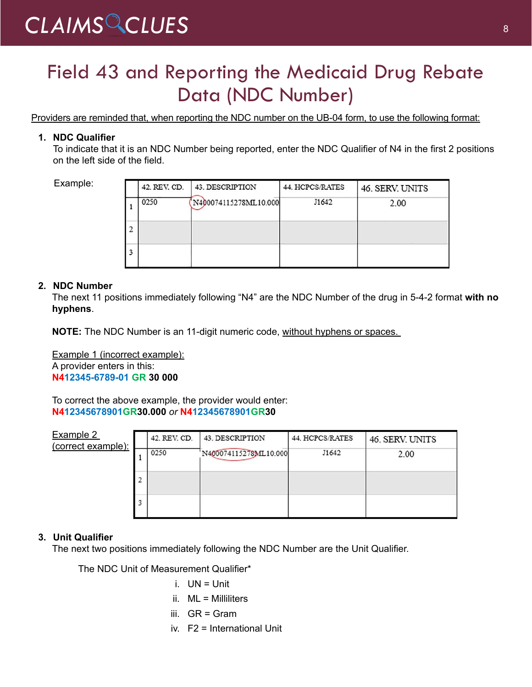## Field 43 and Reporting the Medicaid Drug Rebate Data (NDC Number)

Providers are reminded that, when reporting the NDC number on the UB-04 form, to use the following format:

### **1. NDC Qualifier**

To indicate that it is an NDC Number being reported, enter the NDC Qualifier of N4 in the first 2 positions on the left side of the field.

Example:

|   | 42. REV. CD. | 43. DESCRIPTION       | 44. HCPCS/RATES | 46. SERV. UNITS |
|---|--------------|-----------------------|-----------------|-----------------|
|   | 0250         | N400074115278ML10.000 | J1642           | 2.00            |
|   |              |                       |                 |                 |
| 3 |              |                       |                 |                 |

### **2. NDC Number**

The next 11 positions immediately following "N4" are the NDC Number of the drug in 5-4-2 format **with no hyphens**.

**NOTE:** The NDC Number is an 11-digit numeric code, without hyphens or spaces.

Example 1 (incorrect example): A provider enters in this: **N412345-6789-01 GR 30 000**

To correct the above example, the provider would enter: **N412345678901GR30.000** *or* **N412345678901GR30**

| Example 2<br>(correct example): |   | 42. REV. CD. | 43. DESCRIPTION       | 44. HCPCS/RATES | 46. SERV. UNITS |
|---------------------------------|---|--------------|-----------------------|-----------------|-----------------|
|                                 |   | 0250         | N400074115278ML10.000 | J1642           | 2.00            |
|                                 |   |              |                       |                 |                 |
|                                 |   |              |                       |                 |                 |
|                                 | 3 |              |                       |                 |                 |
|                                 |   |              |                       |                 |                 |

### **3. Unit Qualifier**

The next two positions immediately following the NDC Number are the Unit Qualifier.

The NDC Unit of Measurement Qualifier\*

- i. UN = Unit
- ii. ML = Milliliters
- iii.  $GR = Gram$
- iv. F2 = International Unit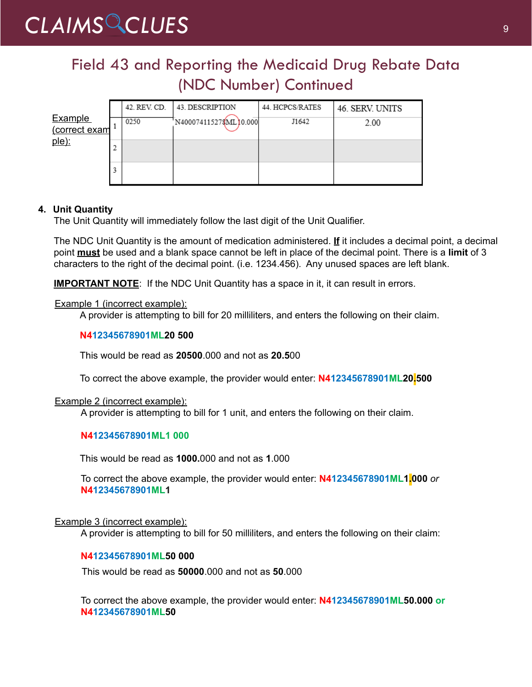### Field 43 and Reporting the Medicaid Drug Rebate Data (NDC Number) Continued

|                          |   | 42. REV. CD. | 43. DESCRIPTION       | 44. HCPCS/RATES | 46. SERV. UNITS |
|--------------------------|---|--------------|-----------------------|-----------------|-----------------|
| Example<br>(correct exam |   | 0250         | N400074115278ML10.000 | J1642           | 2.00            |
| $ple)$ :                 | o |              |                       |                 |                 |
|                          | 3 |              |                       |                 |                 |

### **4. Unit Quantity**

The Unit Quantity will immediately follow the last digit of the Unit Qualifier.

The NDC Unit Quantity is the amount of medication administered. **If** it includes a decimal point, a decimal point **must** be used and a blank space cannot be left in place of the decimal point. There is a **limit** of 3 characters to the right of the decimal point. (i.e. 1234.456). Any unused spaces are left blank.

**IMPORTANT NOTE:** If the NDC Unit Quantity has a space in it, it can result in errors.

### Example 1 (incorrect example):

A provider is attempting to bill for 20 milliliters, and enters the following on their claim.

### **N412345678901ML20 500**

This would be read as **20500**.000 and not as **20.5**00

To correct the above example, the provider would enter: **N412345678901ML20.500**

### Example 2 (incorrect example):

A provider is attempting to bill for 1 unit, and enters the following on their claim.

### **N412345678901ML1 000**

This would be read as **1000.**000 and not as **1**.000

To correct the above example, the provider would enter: **N412345678901ML1.000** *or* **N412345678901ML1**

### Example 3 (incorrect example):

A provider is attempting to bill for 50 milliliters, and enters the following on their claim:

#### **N412345678901ML50 000**

This would be read as **50000**.000 and not as **50**.000

To correct the above example, the provider would enter: **N412345678901ML50.000 or N412345678901ML50**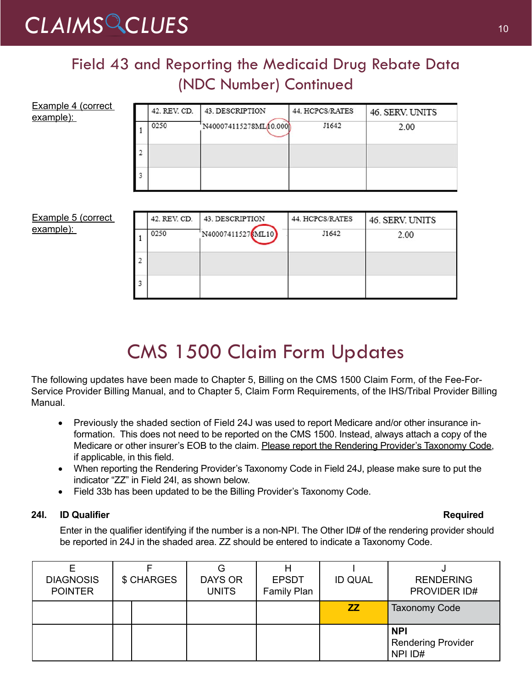# CLAIMS CLUES<sup>10</sup>

 $\overline{\mathbf{3}}$ 

### Field 43 and Reporting the Medicaid Drug Rebate Data (NDC Number) Continued

| Example 4 (correct<br>example): |   | 42. REV. CD. | 43. DESCRIPTION       | 44. HCPCS/RATES | 46. SERV. UNITS |
|---------------------------------|---|--------------|-----------------------|-----------------|-----------------|
|                                 |   | 0250         | N400074115278ML00.000 | J1642           | 2.00            |
|                                 | 2 |              |                       |                 |                 |
|                                 | 3 |              |                       |                 |                 |
|                                 |   |              |                       |                 |                 |
| <b>Example 5 (correct</b>       |   | 42. REV. CD. | 43. DESCRIPTION       | 44. HCPCS/RATES | 46. SERV. UNITS |
| example):                       |   | 0250         | N400074115276ML10     | J1642           | 2.00            |
|                                 | 2 |              |                       |                 |                 |

# CMS 1500 Claim Form Updates

The following updates have been made to Chapter 5, Billing on the CMS 1500 Claim Form, of the Fee-For-Service Provider Billing Manual, and to Chapter 5, Claim Form Requirements, of the IHS/Tribal Provider Billing Manual.

- Previously the shaded section of Field 24J was used to report Medicare and/or other insurance information. This does not need to be reported on the CMS 1500. Instead, always attach a copy of the Medicare or other insurer's EOB to the claim. Please report the Rendering Provider's Taxonomy Code, if applicable, in this field.
- When reporting the Rendering Provider's Taxonomy Code in Field 24J, please make sure to put the indicator "ZZ" in Field 24I, as shown below.
- Field 33b has been updated to be the Billing Provider's Taxonomy Code.

### **24I. ID Qualifier Required**

Enter in the qualifier identifying if the number is a non-NPI. The Other ID# of the rendering provider should be reported in 24J in the shaded area. ZZ should be entered to indicate a Taxonomy Code.

| <b>DIAGNOSIS</b><br><b>POINTER</b> | \$ CHARGES |  | G<br>DAYS OR<br><b>UNITS</b> | <b>EPSDT</b><br>Family Plan | <b>ID QUAL</b> | <b>RENDERING</b><br>PROVIDER ID#                   |
|------------------------------------|------------|--|------------------------------|-----------------------------|----------------|----------------------------------------------------|
|                                    |            |  |                              |                             | ZZ.            | <b>Taxonomy Code</b>                               |
|                                    |            |  |                              |                             |                | <b>NPI</b><br><b>Rendering Provider</b><br>NPI ID# |